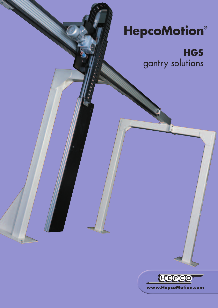# **HepcoMotion®**

**HGS** gantry solutions

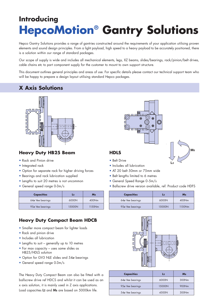## **Introducing HepcoMotion® Gantry Solutions**

Hepco Gantry Solutions provides a range of gantries constructed around the requirements of your application utilising proven elements and sound design principles. From a light payload, high speed to a heavy payload to be accurately positioned, there is a solution within our range of standard packages.

Our scope of supply is wide and includes all mechanical elements, legs, XZ beams, slides/bearings, rack/pinion/belt drives, cable chains etc to part component supply for the customer to mount to own support structure.

This document outlines general principles and areas of use. For specific details please contact our technical support team who will be happy to prepare a design layout utilising standard Hepco packages.

### **X Axis Solutions**



### **Heavy Duty HB25 Beam HDLS**

- Rack and Pinion drive
- Integrated rack
- Option for separate rack for higher driving forces
- Bearings and rack lubrication supplied
- Lengths to suit 20 metres is not uncommon
- General speed range 0-3m/s

| <b>Capacities</b> | L2     | Ms     |
|-------------------|--------|--------|
| 64ø Vee bearings  | 6000N  | 400Nm  |
| 95ø Vee bearings  | 15000N | 1150Nm |

### **Heavy Duty Compact Beam HDCB**

- Smaller more compact beam for lighter loads
- Rack and pinion drive
- Includes all lubrication
- Lengths to suit generally up to 10 metres
- For max capacity uses same slides as HB25/HDLS solution
- Option for GV3 NLE slides and 54ø bearings
- General speed range 0-3m/s

The Heavy Duty Compact Beam can also be fitted with a ballscrew drive ref HDCS and whilst it can be used as an x axis solution, it is mainly used in Z axis applications. Load capacities **L2** and **Ms** are based on 5000km life.



- Belt Drive
- Includes all lubrication
- AT 20 belt 50mm or 75mm wide
- Belt lengths limited to 6 metres
- General Speed Range 0-5m/s
- Ballscrew drive version available, ref: Product code HDFS

| <b>Capacities</b> | $L_{2}$ | Ms     |
|-------------------|---------|--------|
| 64ø Vee bearings  | 6000N   | 400Nm  |
| 95ø Vee bearings  | 15000N  | 1150Nm |



| <b>Capacities</b> | $L_{2}$ | Ms    |
|-------------------|---------|-------|
| 64ø Vee bearings  | 6000N   | 300Nm |
| 95ø Vee bearings  | 15000N  | 900Nm |
| 54ø Vee bearings  | 4500N   | 300Nm |

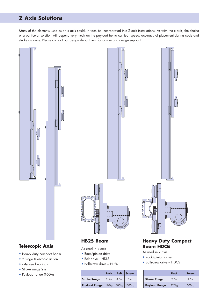### **Z Axis Solutions**

Many of the elements used as an x axis could, in fact, be incorporated into Z axis installations. As with the x axis, the choice of a particular solution will depend very much on the payload being carried, speed, accuracy of placement during cycle and stroke distance. Please contact our design department for advise and design support.



- Stroke range 2m
- Payload range 0-60kg

### **Rack Belt Screw Stroke Range**  $\begin{array}{|c|c|c|} 3.5 \text{m} & 3.5 \text{m} & 3 \text{m} \end{array}$ **Payload Range** | 120kg | 300kg | 1000kg

|                      | Rack              | <b>Screw</b>      |
|----------------------|-------------------|-------------------|
| <b>Stroke Range</b>  | 2.5 <sub>m</sub>  | 1.5m              |
| <b>Payload Range</b> | 120 <sub>kg</sub> | 500 <sub>kg</sub> |